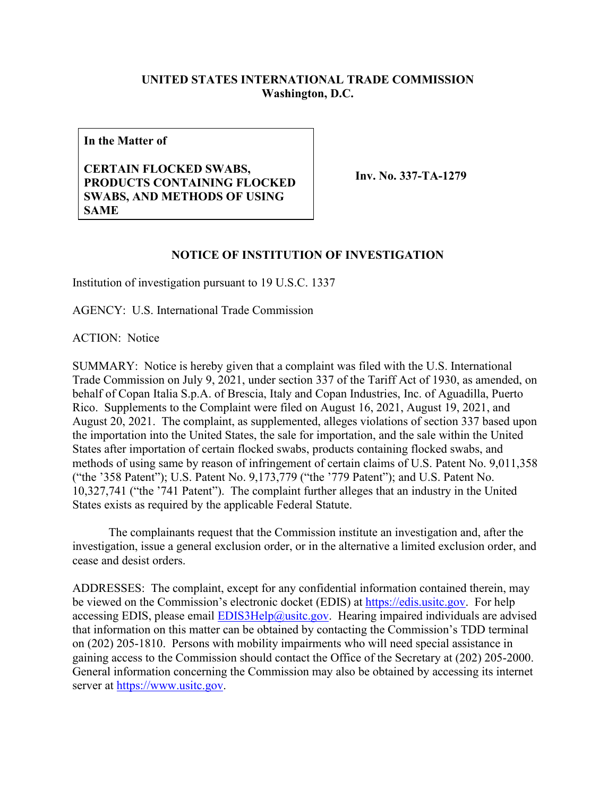## **UNITED STATES INTERNATIONAL TRADE COMMISSION Washington, D.C.**

**In the Matter of**

## **CERTAIN FLOCKED SWABS, PRODUCTS CONTAINING FLOCKED SWABS, AND METHODS OF USING SAME**

**Inv. No. 337-TA-1279**

## **NOTICE OF INSTITUTION OF INVESTIGATION**

Institution of investigation pursuant to 19 U.S.C. 1337

AGENCY: U.S. International Trade Commission

ACTION: Notice

SUMMARY: Notice is hereby given that a complaint was filed with the U.S. International Trade Commission on July 9, 2021, under section 337 of the Tariff Act of 1930, as amended, on behalf of Copan Italia S.p.A. of Brescia, Italy and Copan Industries, Inc. of Aguadilla, Puerto Rico. Supplements to the Complaint were filed on August 16, 2021, August 19, 2021, and August 20, 2021. The complaint, as supplemented, alleges violations of section 337 based upon the importation into the United States, the sale for importation, and the sale within the United States after importation of certain flocked swabs, products containing flocked swabs, and methods of using same by reason of infringement of certain claims of U.S. Patent No. 9,011,358 ("the '358 Patent"); U.S. Patent No. 9,173,779 ("the '779 Patent"); and U.S. Patent No. 10,327,741 ("the '741 Patent"). The complaint further alleges that an industry in the United States exists as required by the applicable Federal Statute.

The complainants request that the Commission institute an investigation and, after the investigation, issue a general exclusion order, or in the alternative a limited exclusion order, and cease and desist orders.

ADDRESSES: The complaint, except for any confidential information contained therein, may be viewed on the Commission's electronic docket (EDIS) at [https://edis.usitc.gov.](https://edis.usitc.gov/) For help accessing EDIS, please email  $EDIS3Help@usite.gov$ . Hearing impaired individuals are advised that information on this matter can be obtained by contacting the Commission's TDD terminal on (202) 205-1810. Persons with mobility impairments who will need special assistance in gaining access to the Commission should contact the Office of the Secretary at (202) 205-2000. General information concerning the Commission may also be obtained by accessing its internet server at [https://www.usitc.gov.](https://www.usitc.gov/)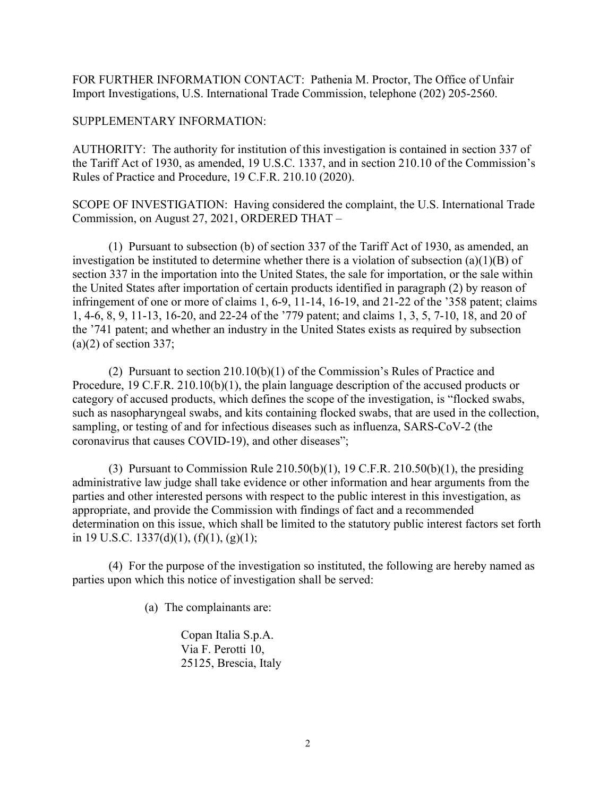FOR FURTHER INFORMATION CONTACT: Pathenia M. Proctor, The Office of Unfair Import Investigations, U.S. International Trade Commission, telephone (202) 205-2560.

## SUPPLEMENTARY INFORMATION:

AUTHORITY: The authority for institution of this investigation is contained in section 337 of the Tariff Act of 1930, as amended, 19 U.S.C. 1337, and in section 210.10 of the Commission's Rules of Practice and Procedure, 19 C.F.R. 210.10 (2020).

SCOPE OF INVESTIGATION: Having considered the complaint, the U.S. International Trade Commission, on August 27, 2021, ORDERED THAT –

(1) Pursuant to subsection (b) of section 337 of the Tariff Act of 1930, as amended, an investigation be instituted to determine whether there is a violation of subsection (a)(1)(B) of section 337 in the importation into the United States, the sale for importation, or the sale within the United States after importation of certain products identified in paragraph (2) by reason of infringement of one or more of claims 1, 6-9, 11-14, 16-19, and 21-22 of the '358 patent; claims 1, 4-6, 8, 9, 11-13, 16-20, and 22-24 of the '779 patent; and claims 1, 3, 5, 7-10, 18, and 20 of the '741 patent; and whether an industry in the United States exists as required by subsection  $(a)(2)$  of section 337;

(2) Pursuant to section 210.10(b)(1) of the Commission's Rules of Practice and Procedure, 19 C.F.R. 210.10(b)(1), the plain language description of the accused products or category of accused products, which defines the scope of the investigation, is "flocked swabs, such as nasopharyngeal swabs, and kits containing flocked swabs, that are used in the collection, sampling, or testing of and for infectious diseases such as influenza, SARS-CoV-2 (the coronavirus that causes COVID-19), and other diseases";

(3) Pursuant to Commission Rule  $210.50(b)(1)$ , 19 C.F.R.  $210.50(b)(1)$ , the presiding administrative law judge shall take evidence or other information and hear arguments from the parties and other interested persons with respect to the public interest in this investigation, as appropriate, and provide the Commission with findings of fact and a recommended determination on this issue, which shall be limited to the statutory public interest factors set forth in 19 U.S.C. 1337(d)(1),  $(f)(1)$ ,  $(g)(1)$ ;

(4) For the purpose of the investigation so instituted, the following are hereby named as parties upon which this notice of investigation shall be served:

(a) The complainants are:

Copan Italia S.p.A. Via F. Perotti 10, 25125, Brescia, Italy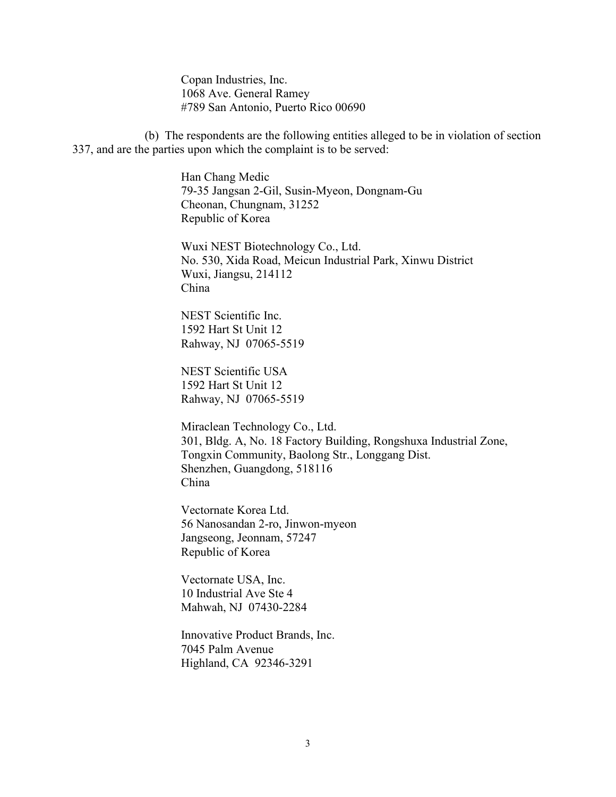Copan Industries, Inc. 1068 Ave. General Ramey #789 San Antonio, Puerto Rico 00690

(b) The respondents are the following entities alleged to be in violation of section 337, and are the parties upon which the complaint is to be served:

> Han Chang Medic 79-35 Jangsan 2-Gil, Susin-Myeon, Dongnam-Gu Cheonan, Chungnam, 31252 Republic of Korea

Wuxi NEST Biotechnology Co., Ltd. No. 530, Xida Road, Meicun Industrial Park, Xinwu District Wuxi, Jiangsu, 214112 China

NEST Scientific Inc. 1592 Hart St Unit 12 Rahway, NJ 07065-5519

NEST Scientific USA 1592 Hart St Unit 12 Rahway, NJ 07065-5519

Miraclean Technology Co., Ltd. 301, Bldg. A, No. 18 Factory Building, Rongshuxa Industrial Zone, Tongxin Community, Baolong Str., Longgang Dist. Shenzhen, Guangdong, 518116 China

Vectornate Korea Ltd. 56 Nanosandan 2-ro, Jinwon-myeon Jangseong, Jeonnam, 57247 Republic of Korea

Vectornate USA, Inc. 10 Industrial Ave Ste 4 Mahwah, NJ 07430-2284

Innovative Product Brands, Inc. 7045 Palm Avenue Highland, CA 92346-3291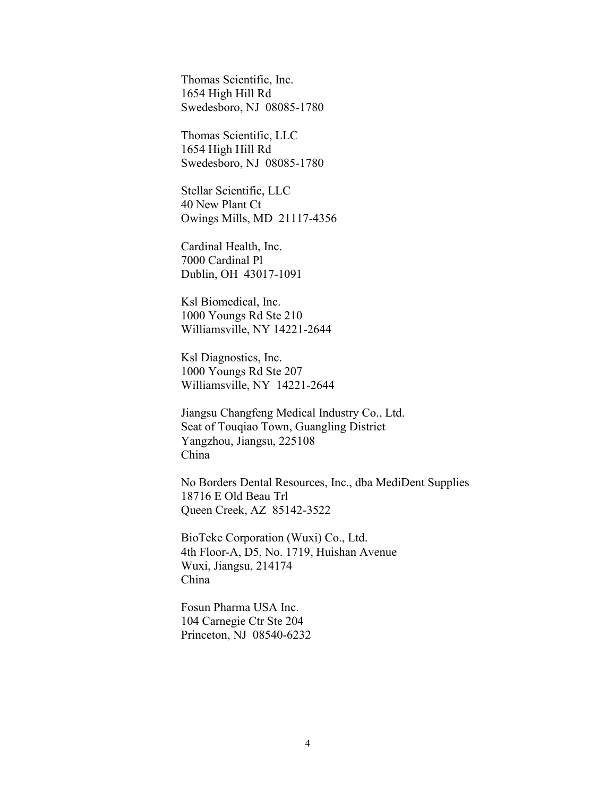Thomas Scientific, Inc. 1654 High Hill Rd Swedesboro, NJ 08085-1780

Thomas Scientific, LLC 1654 High Hill Rd Swedesboro, NJ 08085-1780

Stellar Scientific, LLC 40 New Plant Ct Owings Mills, MD 21117-4356

Cardinal Health, Inc. 7000 Cardinal Pl Dublin, OH 43017-1091

Ksl Biomedical, Inc. 1000 Youngs Rd Ste 210 Williamsville, NY 14221-2644

Ksl Diagnostics, Inc. 1000 Youngs Rd Ste 207 Williamsville, NY 14221-2644

Jiangsu Changfeng Medical Industry Co., Ltd. Seat of Touqiao Town, Guangling District Yangzhou, Jiangsu, 225108 China

No Borders Dental Resources, Inc., dba MediDent Supplies 18716 E Old Beau Trl Queen Creek, AZ 85142-3522

BioTeke Corporation (Wuxi) Co., Ltd. 4th Floor-A, D5, No. 1719, Huishan Avenue Wuxi, Jiangsu, 214174 China

Fosun Pharma USA Inc. 104 Carnegie Ctr Ste 204 Princeton, NJ 08540-6232